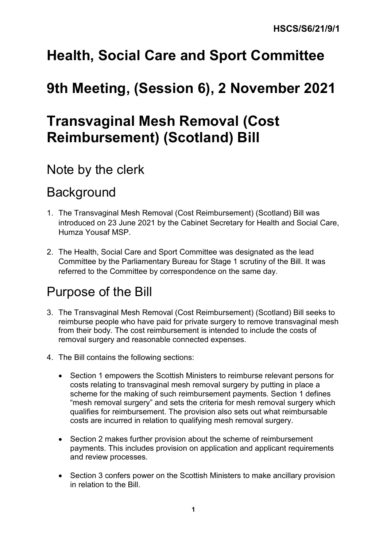# **Health, Social Care and Sport Committee**

# **9th Meeting, (Session 6), 2 November 2021**

# **Transvaginal Mesh Removal (Cost Reimbursement) (Scotland) Bill**

# Note by the clerk

# **Background**

- 1. The Transvaginal Mesh Removal (Cost Reimbursement) (Scotland) Bill was introduced on 23 June 2021 by the Cabinet Secretary for Health and Social Care, Humza Yousaf MSP.
- 2. The Health, Social Care and Sport Committee was designated as the lead Committee by the Parliamentary Bureau for Stage 1 scrutiny of the Bill. It was referred to the Committee by correspondence on the same day.

# Purpose of the Bill

- 3. The Transvaginal Mesh Removal (Cost Reimbursement) (Scotland) Bill seeks to reimburse people who have paid for private surgery to remove transvaginal mesh from their body. The cost reimbursement is intended to include the costs of removal surgery and reasonable connected expenses.
- 4. The Bill contains the following sections:
	- Section 1 empowers the Scottish Ministers to reimburse relevant persons for costs relating to transvaginal mesh removal surgery by putting in place a scheme for the making of such reimbursement payments. Section 1 defines "mesh removal surgery" and sets the criteria for mesh removal surgery which qualifies for reimbursement. The provision also sets out what reimbursable costs are incurred in relation to qualifying mesh removal surgery.
	- Section 2 makes further provision about the scheme of reimbursement payments. This includes provision on application and applicant requirements and review processes.
	- Section 3 confers power on the Scottish Ministers to make ancillary provision in relation to the Bill.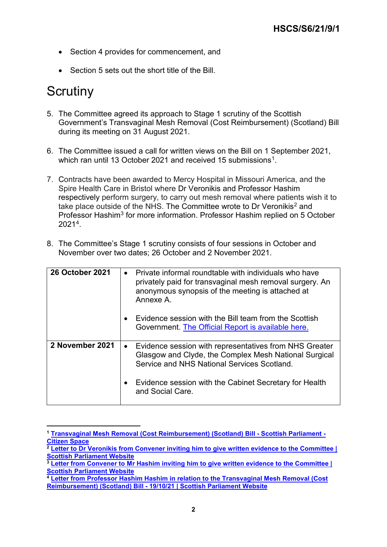- Section 4 provides for commencement, and
- Section 5 sets out the short title of the Bill.

## **Scrutiny**

- 5. The Committee agreed its approach to Stage 1 scrutiny of the Scottish Government's Transvaginal Mesh Removal (Cost Reimbursement) (Scotland) Bill during its meeting on 31 August 2021.
- 6. The Committee issued a call for written views on the Bill on 1 September 2021, which ran until 13 October 2021 and received 15 submissions<sup>1</sup>.
- 7. Contracts have been awarded to Mercy Hospital in Missouri America, and the Spire Health Care in Bristol where Dr Veronikis and Professor Hashim respectively perform surgery, to carry out mesh removal where patients wish it to take place outside of the NHS. The Committee wrote to Dr Veronikis<sup>[2](#page-1-1)</sup> and Professor Hashim<sup>[3](#page-1-2)</sup> for more information. Professor Hashim replied on 5 October 2021[4.](#page-1-3)
- 8. The Committee's Stage 1 scrutiny consists of four sessions in October and November over two dates; 26 October and 2 November 2021.

| <b>26 October 2021</b> | Private informal roundtable with individuals who have<br>$\bullet$<br>privately paid for transvaginal mesh removal surgery. An<br>anonymous synopsis of the meeting is attached at<br>Annexe A. |
|------------------------|-------------------------------------------------------------------------------------------------------------------------------------------------------------------------------------------------|
|                        | Evidence session with the Bill team from the Scottish<br>$\bullet$<br>Government. The Official Report is available here.                                                                        |
| 2 November 2021        | Evidence session with representatives from NHS Greater<br>$\bullet$<br>Glasgow and Clyde, the Complex Mesh National Surgical<br>Service and NHS National Services Scotland.                     |
|                        | Evidence session with the Cabinet Secretary for Health<br>$\bullet$<br>and Social Care.                                                                                                         |

<span id="page-1-0"></span> **<sup>1</sup> [Transvaginal Mesh Removal \(Cost Reimbursement\) \(Scotland\) Bill -](https://yourviews.parliament.scot/health/mesh-removal-bill/) Scottish Parliament - [Citizen Space](https://yourviews.parliament.scot/health/mesh-removal-bill/)**

<span id="page-1-1"></span>**<sup>2</sup> [Letter to Dr Veronikis from Convener inviting him to give written evidence to the Committee |](https://www.parliament.scot/chamber-and-committees/committees/current-and-previous-committees/session-6-health-social-care-and-sport-committee/correspondence/2021/dr-veronikis-invite)  [Scottish Parliament Website](https://www.parliament.scot/chamber-and-committees/committees/current-and-previous-committees/session-6-health-social-care-and-sport-committee/correspondence/2021/dr-veronikis-invite)**

<span id="page-1-2"></span>**<sup>3</sup> [Letter from Convener to Mr Hashim inviting him to give written evidence to the Committee |](https://www.parliament.scot/chamber-and-committees/committees/current-and-previous-committees/session-6-health-social-care-and-sport-committee/correspondence/2021/mr-hashim-invite)  [Scottish Parliament Website](https://www.parliament.scot/chamber-and-committees/committees/current-and-previous-committees/session-6-health-social-care-and-sport-committee/correspondence/2021/mr-hashim-invite)**

<span id="page-1-3"></span>**<sup>4</sup> [Letter from Professor Hashim Hashim in relation to the Transvaginal Mesh Removal \(Cost](https://www.parliament.scot/chamber-and-committees/committees/current-and-previous-committees/session-6-health-social-care-and-sport-committee/correspondence/2021/committee-correspondence-item-page-branch)  Reimbursement) (Scotland) Bill - [19/10/21 | Scottish Parliament Website](https://www.parliament.scot/chamber-and-committees/committees/current-and-previous-committees/session-6-health-social-care-and-sport-committee/correspondence/2021/committee-correspondence-item-page-branch)**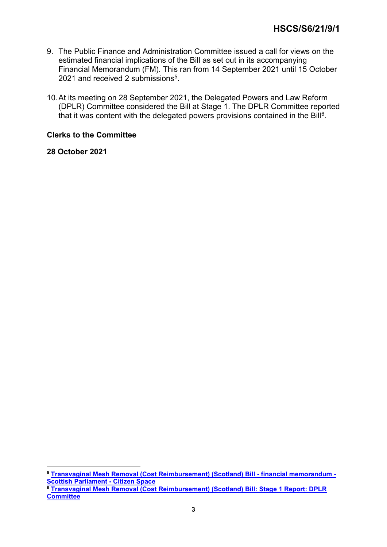- 9. The Public Finance and Administration Committee issued a call for views on the estimated financial implications of the Bill as set out in its accompanying Financial Memorandum (FM). This ran from 14 September 2021 until 15 October 2021 and received 2 submissions<sup>[5](#page-2-0)</sup>.
- 10.At its meeting on 28 September 2021, the Delegated Powers and Law Reform (DPLR) Committee considered the Bill at Stage 1. The DPLR Committee reported that it was content with the delegated powers provisions contained in the Bill $6$ .

### **Clerks to the Committee**

**28 October 2021**

<span id="page-2-1"></span><span id="page-2-0"></span> **<sup>5</sup> [Transvaginal Mesh Removal \(Cost Reimbursement\) \(Scotland\) Bill -](https://yourviews.parliament.scot/finance/transvaginal-mesh-bill-fm/) financial memorandum - [Scottish Parliament -](https://yourviews.parliament.scot/finance/transvaginal-mesh-bill-fm/) Citizen Space <sup>6</sup> [Transvaginal Mesh Removal \(Cost Reimbursement\) \(Scotland\) Bill: Stage 1 Report: DPLR](https://sp-bpr-en-prod-cdnep.azureedge.net/published/DPLR/2021/10/5/230a948c-312b-4bff-9458-6d49826ab30a/DPLRS062021R9.pdf)  [Committee](https://sp-bpr-en-prod-cdnep.azureedge.net/published/DPLR/2021/10/5/230a948c-312b-4bff-9458-6d49826ab30a/DPLRS062021R9.pdf)**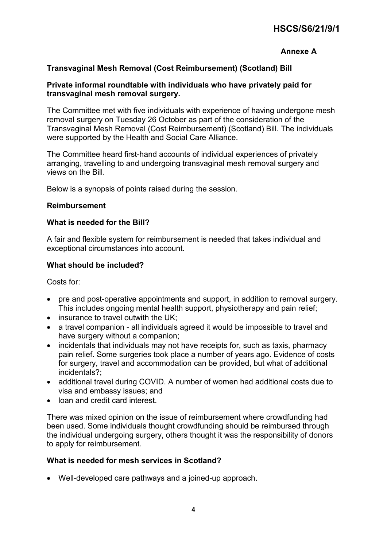### **HSCS/S6/21/9/1**

### **Annexe A**

### **Transvaginal Mesh Removal (Cost Reimbursement) (Scotland) Bill**

#### **Private informal roundtable with individuals who have privately paid for transvaginal mesh removal surgery.**

The Committee met with five individuals with experience of having undergone mesh removal surgery on Tuesday 26 October as part of the consideration of the Transvaginal Mesh Removal (Cost Reimbursement) (Scotland) Bill. The individuals were supported by the Health and Social Care Alliance.

The Committee heard first-hand accounts of individual experiences of privately arranging, travelling to and undergoing transvaginal mesh removal surgery and views on the Bill.

Below is a synopsis of points raised during the session.

#### **Reimbursement**

#### **What is needed for the Bill?**

A fair and flexible system for reimbursement is needed that takes individual and exceptional circumstances into account.

#### **What should be included?**

Costs for:

- pre and post-operative appointments and support, in addition to removal surgery. This includes ongoing mental health support, physiotherapy and pain relief;
- insurance to travel outwith the UK:
- a travel companion all individuals agreed it would be impossible to travel and have surgery without a companion;
- incidentals that individuals may not have receipts for, such as taxis, pharmacy pain relief. Some surgeries took place a number of years ago. Evidence of costs for surgery, travel and accommodation can be provided, but what of additional incidentals?;
- additional travel during COVID. A number of women had additional costs due to visa and embassy issues; and
- loan and credit card interest.

There was mixed opinion on the issue of reimbursement where crowdfunding had been used. Some individuals thought crowdfunding should be reimbursed through the individual undergoing surgery, others thought it was the responsibility of donors to apply for reimbursement.

#### **What is needed for mesh services in Scotland?**

• Well-developed care pathways and a joined-up approach.